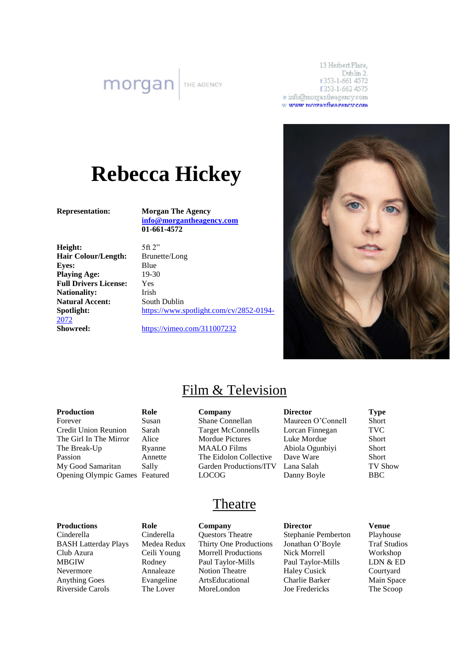**morgan** 

13 Herbert Place, Dublin 2. t 353-1-661 4572 f353-1-662 4575 e info@morgantheagency.com w www.morgantheagency.com

# **Rebecca Hickey**

**Representation: Morgan The Agency [info@morgantheagency.com](mailto:info@morgantheagency.com) 01-661-4572**

**Height:** 5ft 2" **Hair Colour/Length:** Brunette/Long **Eyes:** Blue **Playing Age:** 19-30 **Full Drivers License:** Yes Nationality: Irish **Natural Accent:** South Dublin [2072](https://www.spotlight.com/cv/2852-0194-2072)

**Spotlight:** [https://www.spotlight.com/cv/2852-0194-](https://www.spotlight.com/cv/2852-0194-2072)

**Showreel:** <https://vimeo.com/311007232>



## Film & Television

#### **Production Role Company Director Type** Forever Susan Shane Connellan Maureen O'Connell Short Credit Union Reunion Sarah Target McConnells Lorcan Finnegan TVC The Girl In The Mirror Alice Mordue Pictures Luke Mordue Short The Break-Up Ryanne MAALO Films Abiola Ogunbiyi Short Passion Annette The Eidolon Collective Dave Ware Short My Good Samaritan Sally Garden Productions/ITV Lana Salah TV Show Opening Olympic Games Featured LOCOG Danny Boyle BBC

### Theatre

**Productions Role Company Director Venue** Cinderella Cinderella Questors Theatre Stephanie Pemberton Playhouse BASH Latterday Plays Medea Redux Thirty One Productions Jonathan O'Boyle Traf Studios Club Azura Ceili Young Morrell Productions Nick Morrell Workshop MBGIW Rodney Paul Taylor-Mills Paul Taylor-Mills LDN & ED Nevermore Annaleaze Notion Theatre Haley Cusick Courtyard Anything Goes Evangeline ArtsEducational Charlie Barker Main Space

Riverside Carols The Lover MoreLondon Joe Fredericks The Scoop